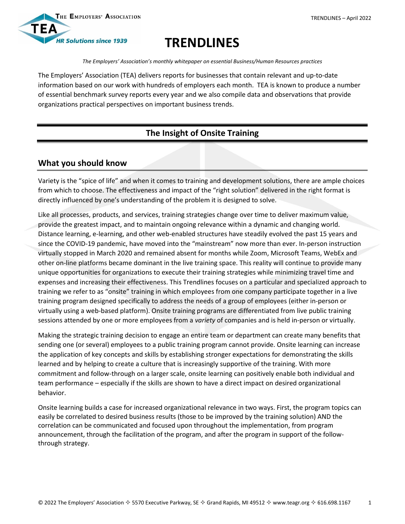



# **TRENDLINES**

*The Employers' Association's monthly whitepaper on essential Business/Human Resources practices*

The Employers' Association (TEA) delivers reports for businesses that contain relevant and up-to-date information based on our work with hundreds of employers each month. TEA is known to produce a number of essential benchmark survey reports every year and we also compile data and observations that provide organizations practical perspectives on important business trends.

## **The Insight of Onsite Training**

### **What you should know**

Variety is the "spice of life" and when it comes to training and development solutions, there are ample choices from which to choose. The effectiveness and impact of the "right solution" delivered in the right format is directly influenced by one's understanding of the problem it is designed to solve.

Like all processes, products, and services, training strategies change over time to deliver maximum value, provide the greatest impact, and to maintain ongoing relevance within a dynamic and changing world. Distance learning, e-learning, and other web-enabled structures have steadily evolved the past 15 years and since the COVID-19 pandemic, have moved into the "mainstream" now more than ever. In-person instruction virtually stopped in March 2020 and remained absent for months while Zoom, Microsoft Teams, WebEx and other on-line platforms became dominant in the live training space. This reality will continue to provide many unique opportunities for organizations to execute their training strategies while minimizing travel time and expenses and increasing their effectiveness. This Trendlines focuses on a particular and specialized approach to training we refer to as "onsite" training in which employees from one company participate together in a live training program designed specifically to address the needs of a group of employees (either in-person or virtually using a web-based platform). Onsite training programs are differentiated from live public training sessions attended by one or more employees from a *variety* of companies and is held in-person or virtually.

Making the strategic training decision to engage an entire team or department can create many benefits that sending one (or several) employees to a public training program cannot provide. Onsite learning can increase the application of key concepts and skills by establishing stronger expectations for demonstrating the skills learned and by helping to create a culture that is increasingly supportive of the training. With more commitment and follow-through on a larger scale, onsite learning can positively enable both individual and team performance – especially if the skills are shown to have a direct impact on desired organizational behavior.

Onsite learning builds a case for increased organizational relevance in two ways. First, the program topics can easily be correlated to desired business results (those to be improved by the training solution) AND the correlation can be communicated and focused upon throughout the implementation, from program announcement, through the facilitation of the program, and after the program in support of the followthrough strategy.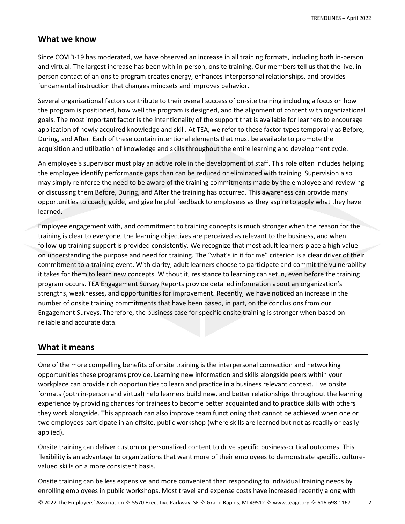#### **What we know**

Since COVID-19 has moderated, we have observed an increase in all training formats, including both in-person and virtual. The largest increase has been with in-person, onsite training. Our members tell us that the live, inperson contact of an onsite program creates energy, enhances interpersonal relationships, and provides fundamental instruction that changes mindsets and improves behavior.

Several organizational factors contribute to their overall success of on-site training including a focus on how the program is positioned, how well the program is designed, and the alignment of content with organizational goals. The most important factor is the intentionality of the support that is available for learners to encourage application of newly acquired knowledge and skill. At TEA, we refer to these factor types temporally as Before, During, and After. Each of these contain intentional elements that must be available to promote the acquisition and utilization of knowledge and skills throughout the entire learning and development cycle.

An employee's supervisor must play an active role in the development of staff. This role often includes helping the employee identify performance gaps than can be reduced or eliminated with training. Supervision also may simply reinforce the need to be aware of the training commitments made by the employee and reviewing or discussing them Before, During, and After the training has occurred. This awareness can provide many opportunities to coach, guide, and give helpful feedback to employees as they aspire to apply what they have learned.

Employee engagement with, and commitment to training concepts is much stronger when the reason for the training is clear to everyone, the learning objectives are perceived as relevant to the business, and when follow-up training support is provided consistently. We recognize that most adult learners place a high value on understanding the purpose and need for training. The "what's in it for me" criterion is a clear driver of their commitment to a training event. With clarity, adult learners choose to participate and commit the vulnerability it takes for them to learn new concepts. Without it, resistance to learning can set in, even before the training program occurs. TEA Engagement Survey Reports provide detailed information about an organization's strengths, weaknesses, and opportunities for improvement. Recently, we have noticed an increase in the number of onsite training commitments that have been based, in part, on the conclusions from our Engagement Surveys. Therefore, the business case for specific onsite training is stronger when based on reliable and accurate data.

#### **What it means**

One of the more compelling benefits of onsite training is the interpersonal connection and networking opportunities these programs provide. Learning new information and skills alongside peers within your workplace can provide rich opportunities to learn and practice in a business relevant context. Live onsite formats (both in-person and virtual) help learners build new, and better relationships throughout the learning experience by providing chances for trainees to become better acquainted and to practice skills with others they work alongside. This approach can also improve team functioning that cannot be achieved when one or two employees participate in an offsite, public workshop (where skills are learned but not as readily or easily applied).

Onsite training can deliver custom or personalized content to drive specific business-critical outcomes. This flexibility is an advantage to organizations that want more of their employees to demonstrate specific, culturevalued skills on a more consistent basis.

Onsite training can be less expensive and more convenient than responding to individual training needs by enrolling employees in public workshops. Most travel and expense costs have increased recently along with